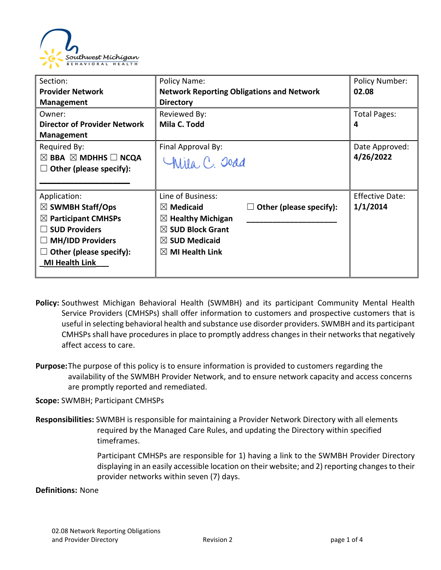

| Section:                                      | Policy Name:                                     |                                | <b>Policy Number:</b>  |
|-----------------------------------------------|--------------------------------------------------|--------------------------------|------------------------|
| <b>Provider Network</b>                       | <b>Network Reporting Obligations and Network</b> |                                | 02.08                  |
| <b>Management</b>                             | <b>Directory</b>                                 |                                |                        |
| Owner:                                        | Reviewed By:                                     |                                | <b>Total Pages:</b>    |
| <b>Director of Provider Network</b>           | Mila C. Todd                                     |                                | 4                      |
| <b>Management</b>                             |                                                  |                                |                        |
| Required By:                                  | Final Approval By:                               |                                | Date Approved:         |
| $\boxtimes$ BBA $\boxtimes$ MDHHS $\Box$ NCQA | Wila, C. Joad                                    |                                | 4/26/2022              |
| Other (please specify):                       |                                                  |                                |                        |
|                                               |                                                  |                                |                        |
| Application:                                  | Line of Business:                                |                                | <b>Effective Date:</b> |
| $\boxtimes$ SWMBH Staff/Ops                   | $\boxtimes$ Medicaid                             | $\Box$ Other (please specify): | 1/1/2014               |
| $\boxtimes$ Participant CMHSPs                | $\boxtimes$ Healthy Michigan                     |                                |                        |
| <b>SUD Providers</b>                          | $\boxtimes$ SUD Block Grant                      |                                |                        |
| <b>MH/IDD Providers</b>                       | $\boxtimes$ SUD Medicaid                         |                                |                        |
| Other (please specify):                       | $\boxtimes$ MI Health Link                       |                                |                        |
| <b>MI Health Link</b>                         |                                                  |                                |                        |
|                                               |                                                  |                                |                        |

- **Policy:** Southwest Michigan Behavioral Health (SWMBH) and its participant Community Mental Health Service Providers (CMHSPs) shall offer information to customers and prospective customers that is useful in selecting behavioral health and substance use disorder providers. SWMBH and its participant CMHSPs shall have procedures in place to promptly address changes in their networks that negatively affect access to care.
- **Purpose:**The purpose of this policy is to ensure information is provided to customers regarding the availability of the SWMBH Provider Network, and to ensure network capacity and access concerns are promptly reported and remediated.

**Scope:** SWMBH; Participant CMHSPs

**Responsibilities:** SWMBH is responsible for maintaining a Provider Network Directory with all elements required by the Managed Care Rules, and updating the Directory within specified timeframes.

> Participant CMHSPs are responsible for 1) having a link to the SWMBH Provider Directory displaying in an easily accessible location on their website; and 2) reporting changes to their provider networks within seven (7) days.

**Definitions:** None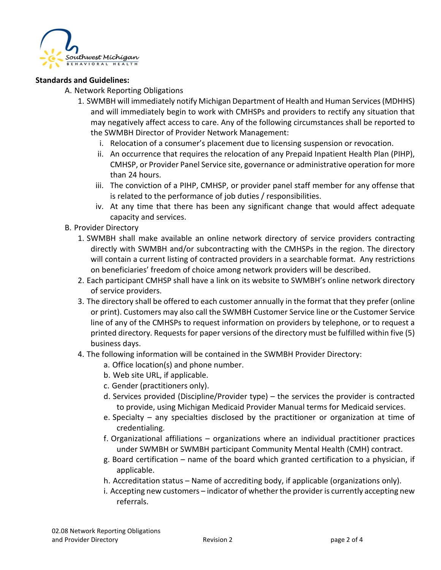

## **Standards and Guidelines:**

- A. Network Reporting Obligations
	- 1. SWMBH will immediately notify Michigan Department of Health and Human Services (MDHHS) and will immediately begin to work with CMHSPs and providers to rectify any situation that may negatively affect access to care. Any of the following circumstances shall be reported to the SWMBH Director of Provider Network Management:
		- i. Relocation of a consumer's placement due to licensing suspension or revocation.
		- ii. An occurrence that requires the relocation of any Prepaid Inpatient Health Plan (PIHP), CMHSP, or Provider Panel Service site, governance or administrative operation for more than 24 hours.
		- iii. The conviction of a PIHP, CMHSP, or provider panel staff member for any offense that is related to the performance of job duties / responsibilities.
		- iv. At any time that there has been any significant change that would affect adequate capacity and services.
- B. Provider Directory
	- 1. SWMBH shall make available an online network directory of service providers contracting directly with SWMBH and/or subcontracting with the CMHSPs in the region. The directory will contain a current listing of contracted providers in a searchable format. Any restrictions on beneficiaries' freedom of choice among network providers will be described.
	- 2. Each participant CMHSP shall have a link on its website to SWMBH's online network directory of service providers.
	- 3. The directory shall be offered to each customer annually in the format that they prefer (online or print). Customers may also call the SWMBH Customer Service line or the Customer Service line of any of the CMHSPs to request information on providers by telephone, or to request a printed directory. Requests for paper versions of the directory must be fulfilled within five (5) business days.
	- 4. The following information will be contained in the SWMBH Provider Directory:
		- a. Office location(s) and phone number.
		- b. Web site URL, if applicable.
		- c. Gender (practitioners only).
		- d. Services provided (Discipline/Provider type) the services the provider is contracted to provide, using Michigan Medicaid Provider Manual terms for Medicaid services.
		- e. Specialty any specialties disclosed by the practitioner or organization at time of credentialing.
		- f. Organizational affiliations organizations where an individual practitioner practices under SWMBH or SWMBH participant Community Mental Health (CMH) contract.
		- g. Board certification name of the board which granted certification to a physician, if applicable.
		- h. Accreditation status Name of accrediting body, if applicable (organizations only).
		- i. Accepting new customers indicator of whether the provider is currently accepting new referrals.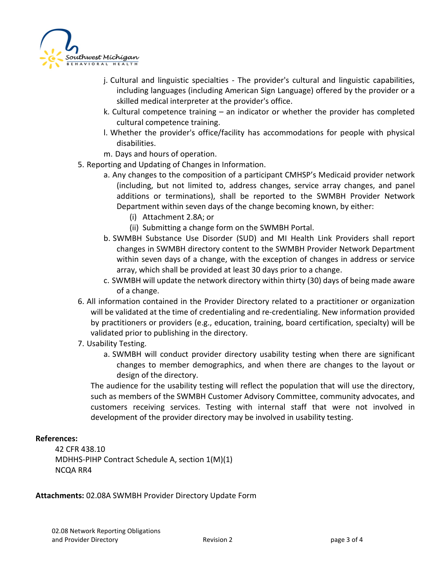

- j. Cultural and linguistic specialties The provider's cultural and linguistic capabilities, including languages (including American Sign Language) offered by the provider or a skilled medical interpreter at the provider's office.
- k. Cultural competence training an indicator or whether the provider has completed cultural competence training.
- l. Whether the provider's office/facility has accommodations for people with physical disabilities.
- m. Days and hours of operation.
- 5. Reporting and Updating of Changes in Information.
	- a. Any changes to the composition of a participant CMHSP's Medicaid provider network (including, but not limited to, address changes, service array changes, and panel additions or terminations), shall be reported to the SWMBH Provider Network Department within seven days of the change becoming known, by either:
		- (i) Attachment 2.8A; or
		- (ii) Submitting a change form on the SWMBH Portal.
	- b. SWMBH Substance Use Disorder (SUD) and MI Health Link Providers shall report changes in SWMBH directory content to the SWMBH Provider Network Department within seven days of a change, with the exception of changes in address or service array, which shall be provided at least 30 days prior to a change.
	- c. SWMBH will update the network directory within thirty (30) days of being made aware of a change.
- 6. All information contained in the Provider Directory related to a practitioner or organization will be validated at the time of credentialing and re-credentialing. New information provided by practitioners or providers (e.g., education, training, board certification, specialty) will be validated prior to publishing in the directory.
- 7. Usability Testing.
	- a. SWMBH will conduct provider directory usability testing when there are significant changes to member demographics, and when there are changes to the layout or design of the directory.

The audience for the usability testing will reflect the population that will use the directory, such as members of the SWMBH Customer Advisory Committee, community advocates, and customers receiving services. Testing with internal staff that were not involved in development of the provider directory may be involved in usability testing.

## **References:**

42 CFR 438.10 MDHHS-PIHP Contract Schedule A, section 1(M)(1) NCQA RR4

**Attachments:** 02.08A SWMBH Provider Directory Update Form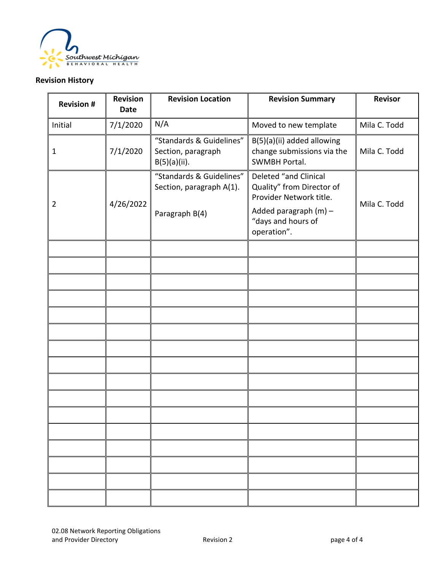

## **Revision History**

| <b>Revision #</b> | <b>Revision</b><br><b>Date</b> | <b>Revision Location</b>                                               | <b>Revision Summary</b>                                                                                                                       | <b>Revisor</b> |
|-------------------|--------------------------------|------------------------------------------------------------------------|-----------------------------------------------------------------------------------------------------------------------------------------------|----------------|
| Initial           | 7/1/2020                       | N/A                                                                    | Moved to new template                                                                                                                         | Mila C. Todd   |
| 1                 | 7/1/2020                       | "Standards & Guidelines"<br>Section, paragraph<br>$B(5)(a)(ii)$ .      | B(5)(a)(ii) added allowing<br>change submissions via the<br><b>SWMBH Portal.</b>                                                              | Mila C. Todd   |
| $\overline{2}$    | 4/26/2022                      | "Standards & Guidelines"<br>Section, paragraph A(1).<br>Paragraph B(4) | Deleted "and Clinical<br>Quality" from Director of<br>Provider Network title.<br>Added paragraph $(m)$ –<br>"days and hours of<br>operation". | Mila C. Todd   |
|                   |                                |                                                                        |                                                                                                                                               |                |
|                   |                                |                                                                        |                                                                                                                                               |                |
|                   |                                |                                                                        |                                                                                                                                               |                |
|                   |                                |                                                                        |                                                                                                                                               |                |
|                   |                                |                                                                        |                                                                                                                                               |                |
|                   |                                |                                                                        |                                                                                                                                               |                |
|                   |                                |                                                                        |                                                                                                                                               |                |
|                   |                                |                                                                        |                                                                                                                                               |                |
|                   |                                |                                                                        |                                                                                                                                               |                |
|                   |                                |                                                                        |                                                                                                                                               |                |
|                   |                                |                                                                        |                                                                                                                                               |                |
|                   |                                |                                                                        |                                                                                                                                               |                |
|                   |                                |                                                                        |                                                                                                                                               |                |
|                   |                                |                                                                        |                                                                                                                                               |                |
|                   |                                |                                                                        |                                                                                                                                               |                |
|                   |                                |                                                                        |                                                                                                                                               |                |